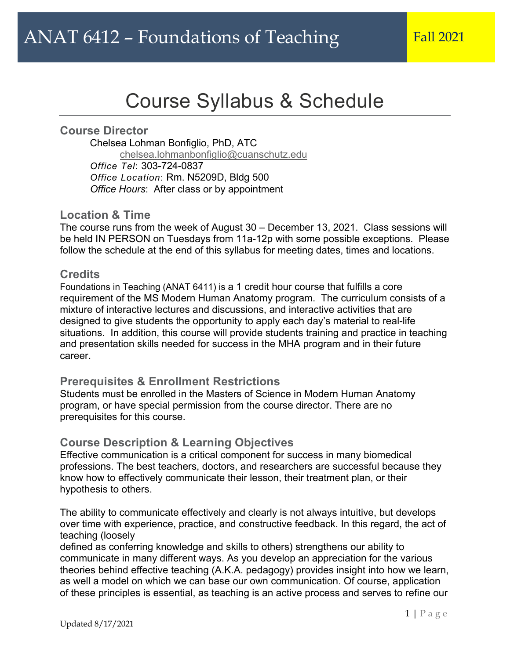# Course Syllabus & Schedule

l

### **Course Director**

Chelsea Lohman Bonfiglio, PhD, ATC chelsea.lohmanbonfiglio@cuanschutz.edu *Office Tel*: 303-724-0837 *Office Location*: Rm. N5209D, Bldg 500 *Office Hours*: After class or by appointment

### **Location & Time**

The course runs from the week of August 30 – December 13, 2021. Class sessions will be held IN PERSON on Tuesdays from 11a-12p with some possible exceptions. Please follow the schedule at the end of this syllabus for meeting dates, times and locations.

### **Credits**

Foundations in Teaching (ANAT 6411) is a 1 credit hour course that fulfills a core requirement of the MS Modern Human Anatomy program. The curriculum consists of a mixture of interactive lectures and discussions, and interactive activities that are designed to give students the opportunity to apply each day's material to real-life situations. In addition, this course will provide students training and practice in teaching and presentation skills needed for success in the MHA program and in their future career.

### **Prerequisites & Enrollment Restrictions**

Students must be enrolled in the Masters of Science in Modern Human Anatomy program, or have special permission from the course director. There are no prerequisites for this course.

## **Course Description & Learning Objectives**

Effective communication is a critical component for success in many biomedical professions. The best teachers, doctors, and researchers are successful because they know how to effectively communicate their lesson, their treatment plan, or their hypothesis to others.

The ability to communicate effectively and clearly is not always intuitive, but develops over time with experience, practice, and constructive feedback. In this regard, the act of teaching (loosely

defined as conferring knowledge and skills to others) strengthens our ability to communicate in many different ways. As you develop an appreciation for the various theories behind effective teaching (A.K.A. pedagogy) provides insight into how we learn, as well a model on which we can base our own communication. Of course, application of these principles is essential, as teaching is an active process and serves to refine our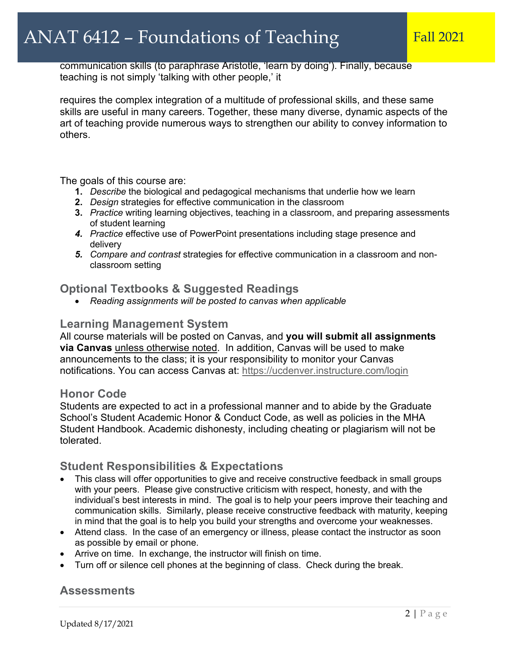communication skills (to paraphrase Aristotle, 'learn by doing'). Finally, because teaching is not simply 'talking with other people,' it

requires the complex integration of a multitude of professional skills, and these same skills are useful in many careers. Together, these many diverse, dynamic aspects of the art of teaching provide numerous ways to strengthen our ability to convey information to others.

The goals of this course are:

- **1.** *Describe* the biological and pedagogical mechanisms that underlie how we learn
- **2.** *Design* strategies for effective communication in the classroom
- **3.** *Practice* writing learning objectives, teaching in a classroom, and preparing assessments of student learning
- *4. Practice* effective use of PowerPoint presentations including stage presence and delivery
- *5. Compare and contrast* strategies for effective communication in a classroom and nonclassroom setting

### **Optional Textbooks & Suggested Readings**

• *Reading assignments will be posted to canvas when applicable*

### **Learning Management System**

All course materials will be posted on Canvas, and **you will submit all assignments via Canvas** unless otherwise noted. In addition, Canvas will be used to make announcements to the class; it is your responsibility to monitor your Canvas notifications. You can access Canvas at: https://ucdenver.instructure.com/login

### **Honor Code**

Students are expected to act in a professional manner and to abide by the Graduate School's Student Academic Honor & Conduct Code, as well as policies in the MHA Student Handbook. Academic dishonesty, including cheating or plagiarism will not be tolerated.

### **Student Responsibilities & Expectations**

- This class will offer opportunities to give and receive constructive feedback in small groups with your peers. Please give constructive criticism with respect, honesty, and with the individual's best interests in mind. The goal is to help your peers improve their teaching and communication skills. Similarly, please receive constructive feedback with maturity, keeping in mind that the goal is to help you build your strengths and overcome your weaknesses.
- Attend class. In the case of an emergency or illness, please contact the instructor as soon as possible by email or phone.
- Arrive on time. In exchange, the instructor will finish on time.
- Turn off or silence cell phones at the beginning of class. Check during the break.

## **Assessments**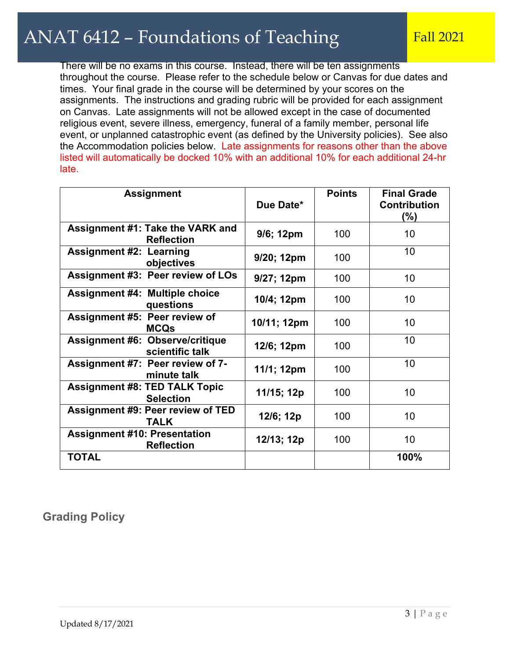There will be no exams in this course. Instead, there will be ten assignments throughout the course. Please refer to the schedule below or Canvas for due dates and times. Your final grade in the course will be determined by your scores on the assignments. The instructions and grading rubric will be provided for each assignment on Canvas. Late assignments will not be allowed except in the case of documented religious event, severe illness, emergency, funeral of a family member, personal life event, or unplanned catastrophic event (as defined by the University policies). See also the Accommodation policies below. Late assignments for reasons other than the above listed will automatically be docked 10% with an additional 10% for each additional 24-hr late.

| <b>Assignment</b>                                         | Due Date*   | <b>Points</b> | <b>Final Grade</b><br><b>Contribution</b><br>$(\%)$ |
|-----------------------------------------------------------|-------------|---------------|-----------------------------------------------------|
| Assignment #1: Take the VARK and<br><b>Reflection</b>     | 9/6; 12pm   | 100           | 10                                                  |
| <b>Assignment #2: Learning</b><br>objectives              | 9/20; 12pm  | 100           | 10                                                  |
| <b>Assignment #3: Peer review of LOs</b>                  | 9/27; 12pm  | 100           | 10                                                  |
| <b>Assignment #4: Multiple choice</b><br>questions        | 10/4; 12pm  | 100           | 10                                                  |
| <b>Assignment #5: Peer review of</b><br><b>MCQs</b>       | 10/11; 12pm | 100           | 10                                                  |
| <b>Assignment #6: Observe/critique</b><br>scientific talk | 12/6; 12pm  | 100           | 10                                                  |
| Assignment #7: Peer review of 7-<br>minute talk           | 11/1; 12pm  | 100           | 10                                                  |
| <b>Assignment #8: TED TALK Topic</b><br><b>Selection</b>  | 11/15; 12p  | 100           | 10                                                  |
| <b>Assignment #9: Peer review of TED</b><br><b>TALK</b>   | 12/6; 12p   | 100           | 10                                                  |
| <b>Assignment #10: Presentation</b><br><b>Reflection</b>  | 12/13; 12p  | 100           | 10                                                  |
| <b>TOTAL</b>                                              |             |               | 100%                                                |

# **Grading Policy**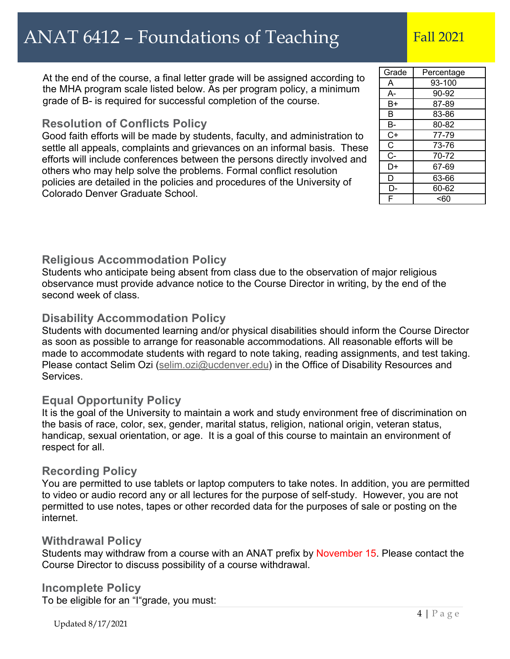At the end of the course, a final letter grade will be assigned according to the MHA program scale listed below. As per program policy, a minimum grade of B- is required for successful completion of the course.

## **Resolution of Conflicts Policy**

Good faith efforts will be made by students, faculty, and administration to settle all appeals, complaints and grievances on an informal basis. These efforts will include conferences between the persons directly involved and others who may help solve the problems. Formal conflict resolution policies are detailed in the policies and procedures of the University of Colorado Denver Graduate School.

| Grade | Percentage |
|-------|------------|
| A     | 93-100     |
| $A-$  | 90-92      |
| B+    | 87-89      |
| в     | 83-86      |
| В-    | 80-82      |
| $C+$  | 77-79      |
| C     | 73-76      |
| $C -$ | 70-72      |
| D+    | 67-69      |
| D     | 63-66      |
| D.    | 60-62      |
| F     | < 60       |

# **Religious Accommodation Policy**

Students who anticipate being absent from class due to the observation of major religious observance must provide advance notice to the Course Director in writing, by the end of the second week of class.

# **Disability Accommodation Policy**

Students with documented learning and/or physical disabilities should inform the Course Director as soon as possible to arrange for reasonable accommodations. All reasonable efforts will be made to accommodate students with regard to note taking, reading assignments, and test taking. Please contact Selim Ozi (selim.ozi@ucdenver.edu) in the Office of Disability Resources and Services.

# **Equal Opportunity Policy**

It is the goal of the University to maintain a work and study environment free of discrimination on the basis of race, color, sex, gender, marital status, religion, national origin, veteran status, handicap, sexual orientation, or age. It is a goal of this course to maintain an environment of respect for all.

## **Recording Policy**

You are permitted to use tablets or laptop computers to take notes. In addition, you are permitted to video or audio record any or all lectures for the purpose of self-study. However, you are not permitted to use notes, tapes or other recorded data for the purposes of sale or posting on the internet.

# **Withdrawal Policy**

Students may withdraw from a course with an ANAT prefix by November 15. Please contact the Course Director to discuss possibility of a course withdrawal.

## **Incomplete Policy**

To be eligible for an "I"grade, you must: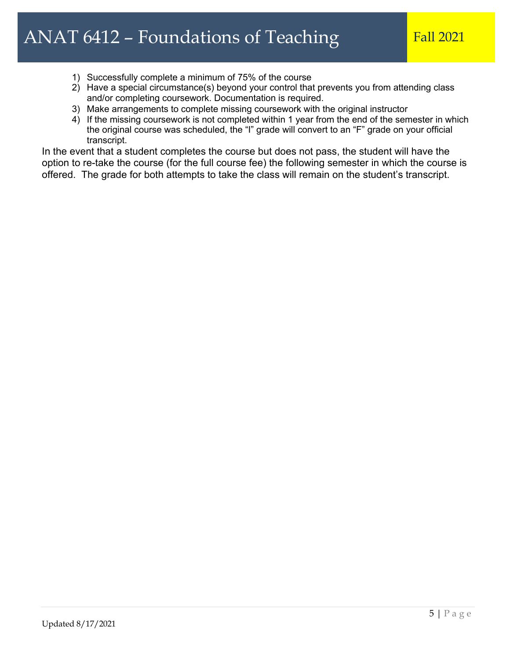- 1) Successfully complete a minimum of 75% of the course
- 2) Have a special circumstance(s) beyond your control that prevents you from attending class and/or completing coursework. Documentation is required.
- 3) Make arrangements to complete missing coursework with the original instructor
- 4) If the missing coursework is not completed within 1 year from the end of the semester in which the original course was scheduled, the "I" grade will convert to an "F" grade on your official transcript.

In the event that a student completes the course but does not pass, the student will have the option to re-take the course (for the full course fee) the following semester in which the course is offered. The grade for both attempts to take the class will remain on the student's transcript.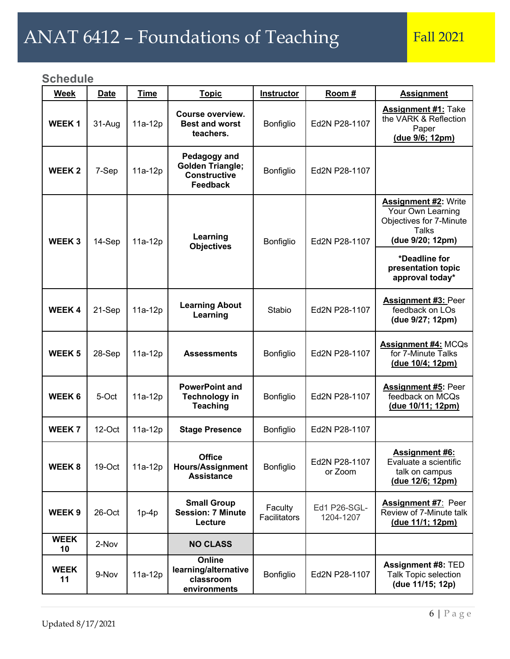# ANAT 6412 – Foundations of Teaching Fall 2021

# **Schedule**

| <b>Week</b>       | <b>Date</b>         | <b>Time</b>                   | <b>Topic</b>                                                                      | <b>Instructor</b>       | Room #                                                                                                          | <b>Assignment</b>                                                                    |
|-------------------|---------------------|-------------------------------|-----------------------------------------------------------------------------------|-------------------------|-----------------------------------------------------------------------------------------------------------------|--------------------------------------------------------------------------------------|
| <b>WEEK1</b>      | 31-Aug              | $11a-12p$                     | Course overview.<br><b>Best and worst</b><br>teachers.                            | Bonfiglio               | Ed2N P28-1107                                                                                                   | <b>Assignment #1:</b> Take<br>the VARK & Reflection<br>Paper<br>(due 9/6; 12pm)      |
| <b>WEEK 2</b>     | 7-Sep               | 11a-12p                       | Pedagogy and<br><b>Golden Triangle;</b><br><b>Constructive</b><br><b>Feedback</b> | Bonfiglio               | Ed2N P28-1107                                                                                                   |                                                                                      |
| <b>WEEK3</b>      | 14-Sep<br>$11a-12p$ | Learning<br><b>Objectives</b> | Bonfiglio                                                                         | Ed2N P28-1107           | <b>Assignment #2: Write</b><br>Your Own Learning<br>Objectives for 7-Minute<br><b>Talks</b><br>(due 9/20; 12pm) |                                                                                      |
|                   |                     |                               |                                                                                   |                         |                                                                                                                 | *Deadline for<br>presentation topic<br>approval today*                               |
| <b>WEEK4</b>      | 21-Sep              | 11a-12p                       | <b>Learning About</b><br>Learning                                                 | Stabio                  | Ed2N P28-1107                                                                                                   | <b>Assignment #3: Peer</b><br>feedback on LOs<br>(due 9/27; 12pm)                    |
| <b>WEEK 5</b>     | 28-Sep              | 11a-12p                       | <b>Assessments</b>                                                                | Bonfiglio               | Ed2N P28-1107                                                                                                   | <b>Assignment #4: MCQs</b><br>for 7-Minute Talks<br>(due 10/4; 12pm)                 |
| <b>WEEK 6</b>     | 5-Oct               | 11a-12p                       | <b>PowerPoint and</b><br><b>Technology in</b><br><b>Teaching</b>                  | Bonfiglio               | Ed2N P28-1107                                                                                                   | <b>Assignment #5: Peer</b><br>feedback on MCQs<br>(due 10/11; 12pm)                  |
| <b>WEEK7</b>      | $12$ -Oct           | $11a-12p$                     | <b>Stage Presence</b>                                                             | Bonfiglio               | Ed2N P28-1107                                                                                                   |                                                                                      |
| <b>WEEK8</b>      | 19-Oct              | 11a-12p                       | <b>Office</b><br><b>Hours/Assignment</b><br><b>Assistance</b>                     | Bonfiglio               | Ed2N P28-1107<br>or Zoom                                                                                        | <b>Assignment #6:</b><br>Evaluate a scientific<br>talk on campus<br>(due 12/6; 12pm) |
| WEEK <sub>9</sub> | 26-Oct              | $1p-4p$                       | <b>Small Group</b><br><b>Session: 7 Minute</b><br>Lecture                         | Faculty<br>Facilitators | Ed1 P26-SGL-<br>1204-1207                                                                                       | <b>Assignment #7: Peer</b><br>Review of 7-Minute talk<br>(due 11/1; 12pm)            |
| <b>WEEK</b><br>10 | 2-Nov               |                               | <b>NO CLASS</b>                                                                   |                         |                                                                                                                 |                                                                                      |
| <b>WEEK</b><br>11 | 9-Nov               | 11a-12p                       | Online<br>learning/alternative<br>classroom<br>environments                       | Bonfiglio               | Ed2N P28-1107                                                                                                   | <b>Assignment #8: TED</b><br><b>Talk Topic selection</b><br>(due 11/15; 12p)         |